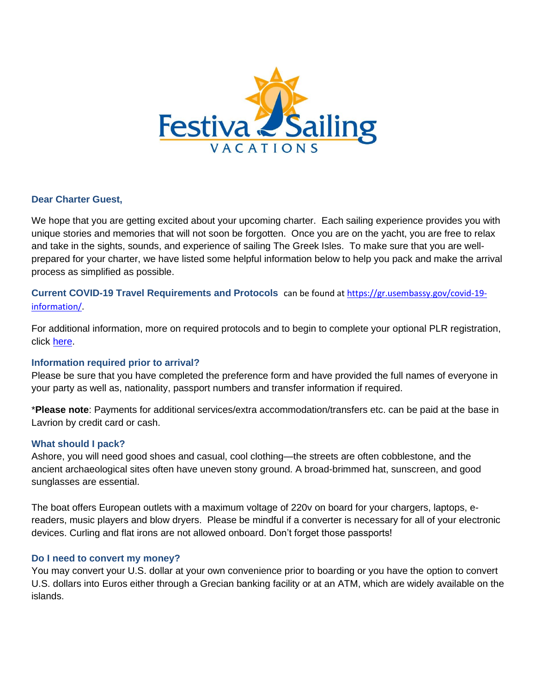

## **Dear Charter Guest,**

We hope that you are getting excited about your upcoming charter. Each sailing experience provides you with unique stories and memories that will not soon be forgotten. Once you are on the yacht, you are free to relax and take in the sights, sounds, and experience of sailing The Greek Isles. To make sure that you are wellprepared for your charter, we have listed some helpful information below to help you pack and make the arrival process as simplified as possible.

**Current COVID-19 Travel Requirements and Protocols** can be found at https://gr.usembassy.gov/covid-19 information/.

For additional information, more on required protocols and to begin to complete your optional PLR registration, click here.

# **Information required prior to arrival?**

Please be sure that you have completed the preference form and have provided the full names of everyone in your party as well as, nationality, passport numbers and transfer information if required.

\***Please note**: Payments for additional services/extra accommodation/transfers etc. can be paid at the base in Lavrion by credit card or cash.

### **What should I pack?**

Ashore, you will need good shoes and casual, cool clothing—the streets are often cobblestone, and the ancient archaeological sites often have uneven stony ground. A broad-brimmed hat, sunscreen, and good sunglasses are essential.

The boat offers European outlets with a maximum voltage of 220v on board for your chargers, laptops, ereaders, music players and blow dryers. Please be mindful if a converter is necessary for all of your electronic devices. Curling and flat irons are not allowed onboard. Don't forget those passports!

### **Do I need to convert my money?**

You may convert your U.S. dollar at your own convenience prior to boarding or you have the option to convert U.S. dollars into Euros either through a Grecian banking facility or at an ATM, which are widely available on the islands.